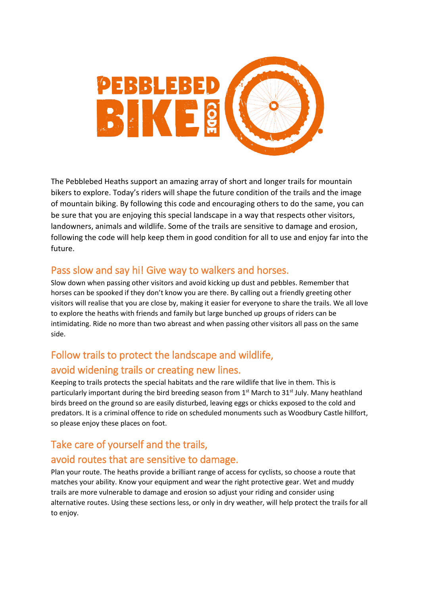

The Pebblebed Heaths support an amazing array of short and longer trails for mountain bikers to explore. Today's riders will shape the future condition of the trails and the image of mountain biking. By following this code and encouraging others to do the same, you can be sure that you are enjoying this special landscape in a way that respects other visitors, landowners, animals and wildlife. Some of the trails are sensitive to damage and erosion, following the code will help keep them in good condition for all to use and enjoy far into the future.

#### Pass slow and say hi! Give way to walkers and horses.

Slow down when passing other visitors and avoid kicking up dust and pebbles. Remember that horses can be spooked if they don't know you are there. By calling out a friendly greeting other visitors will realise that you are close by, making it easier for everyone to share the trails. We all love to explore the heaths with friends and family but large bunched up groups of riders can be intimidating. Ride no more than two abreast and when passing other visitors all pass on the same side.

# Follow trails to protect the landscape and wildlife, avoid widening trails or creating new lines.

Keeping to trails protects the special habitats and the rare wildlife that live in them. This is particularly important during the bird breeding season from 1<sup>st</sup> March to 31<sup>st</sup> July. Many heathland birds breed on the ground so are easily disturbed, leaving eggs or chicks exposed to the cold and predators. It is a criminal offence to ride on scheduled monuments such as Woodbury Castle hillfort, so please enjoy these places on foot.

# Take care of yourself and the trails,

#### avoid routes that are sensitive to damage.

Plan your route. The heaths provide a brilliant range of access for cyclists, so choose a route that matches your ability. Know your equipment and wear the right protective gear. Wet and muddy trails are more vulnerable to damage and erosion so adjust your riding and consider using alternative routes. Using these sections less, or only in dry weather, will help protect the trails for all to enjoy.